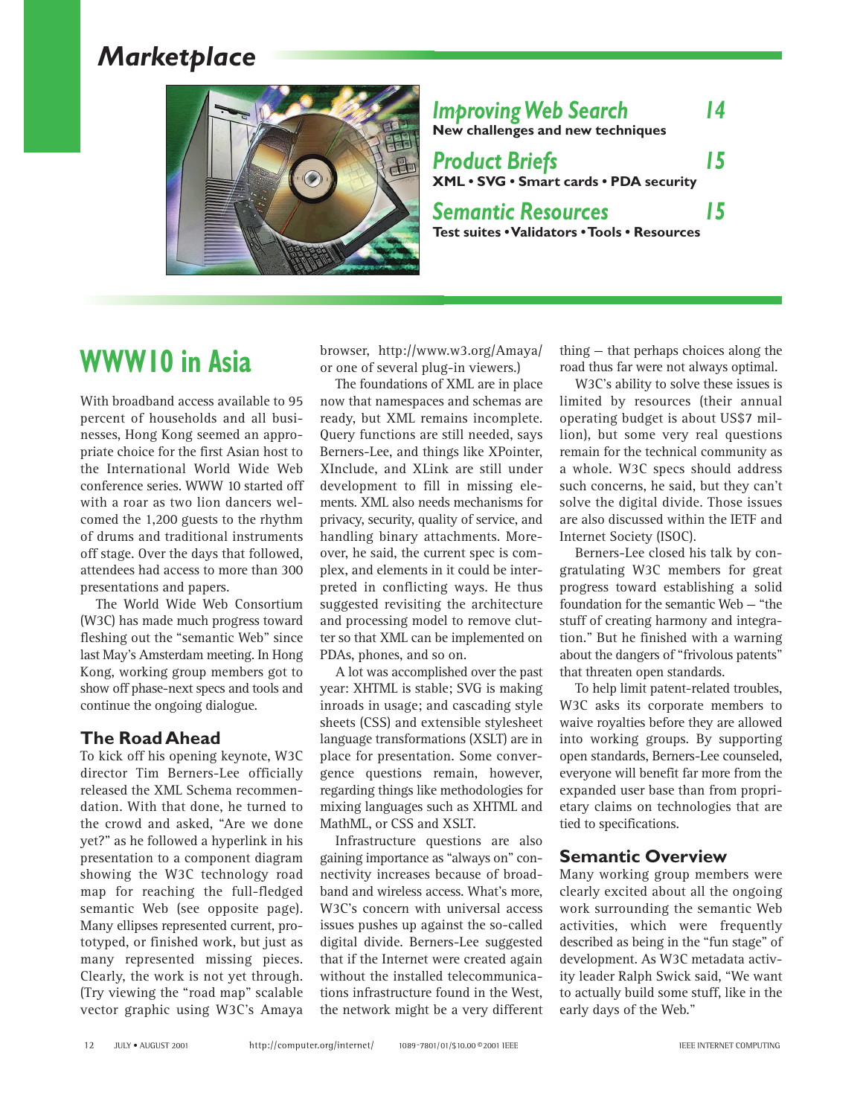# *Marketplace*



*Improving Web Search 14* **New challenges and new techniques** *Product Briefs 15* **XML • SVG • Smart cards • PDA security** *Semantic Resources 15* **Test suites • Validators • Tools • Resources**

# **WWW10 in Asia**

With broadband access available to 95 percent of households and all businesses, Hong Kong seemed an appropriate choice for the first Asian host to the International World Wide Web conference series. WWW 10 started off with a roar as two lion dancers welcomed the 1,200 guests to the rhythm of drums and traditional instruments off stage. Over the days that followed, attendees had access to more than 300 presentations and papers.

The World Wide Web Consortium (W3C) has made much progress toward fleshing out the "semantic Web" since last May's Amsterdam meeting. In Hong Kong, working group members got to show off phase-next specs and tools and continue the ongoing dialogue.

# **The Road Ahead**

To kick off his opening keynote, W3C director Tim Berners-Lee officially released the XML Schema recommendation. With that done, he turned to the crowd and asked, "Are we done yet?" as he followed a hyperlink in his presentation to a component diagram showing the W3C technology road map for reaching the full-fledged semantic Web (see opposite page). Many ellipses represented current, prototyped, or finished work, but just as many represented missing pieces. Clearly, the work is not yet through. (Try viewing the "road map" scalable vector graphic using W3C's Amaya browser, http://www.w3.org/Amaya/ or one of several plug-in viewers.)

The foundations of XML are in place now that namespaces and schemas are ready, but XML remains incomplete. Query functions are still needed, says Berners-Lee, and things like XPointer, XInclude, and XLink are still under development to fill in missing elements. XML also needs mechanisms for privacy, security, quality of service, and handling binary attachments. Moreover, he said, the current spec is complex, and elements in it could be interpreted in conflicting ways. He thus suggested revisiting the architecture and processing model to remove clutter so that XML can be implemented on PDAs, phones, and so on.

A lot was accomplished over the past year: XHTML is stable; SVG is making inroads in usage; and cascading style sheets (CSS) and extensible stylesheet language transformations (XSLT) are in place for presentation. Some convergence questions remain, however, regarding things like methodologies for mixing languages such as XHTML and MathML, or CSS and XSLT.

Infrastructure questions are also gaining importance as "always on" connectivity increases because of broadband and wireless access. What's more, W3C's concern with universal access issues pushes up against the so-called digital divide. Berners-Lee suggested that if the Internet were created again without the installed telecommunications infrastructure found in the West, the network might be a very different

thing — that perhaps choices along the road thus far were not always optimal.

W3C's ability to solve these issues is limited by resources (their annual operating budget is about US\$7 million), but some very real questions remain for the technical community as a whole. W3C specs should address such concerns, he said, but they can't solve the digital divide. Those issues are also discussed within the IETF and Internet Society (ISOC).

Berners-Lee closed his talk by congratulating W3C members for great progress toward establishing a solid foundation for the semantic Web — "the stuff of creating harmony and integration." But he finished with a warning about the dangers of "frivolous patents" that threaten open standards.

To help limit patent-related troubles, W3C asks its corporate members to waive royalties before they are allowed into working groups. By supporting open standards, Berners-Lee counseled, everyone will benefit far more from the expanded user base than from proprietary claims on technologies that are tied to specifications.

# **Semantic Overview**

Many working group members were clearly excited about all the ongoing work surrounding the semantic Web activities, which were frequently described as being in the "fun stage" of development. As W3C metadata activity leader Ralph Swick said, "We want to actually build some stuff, like in the early days of the Web."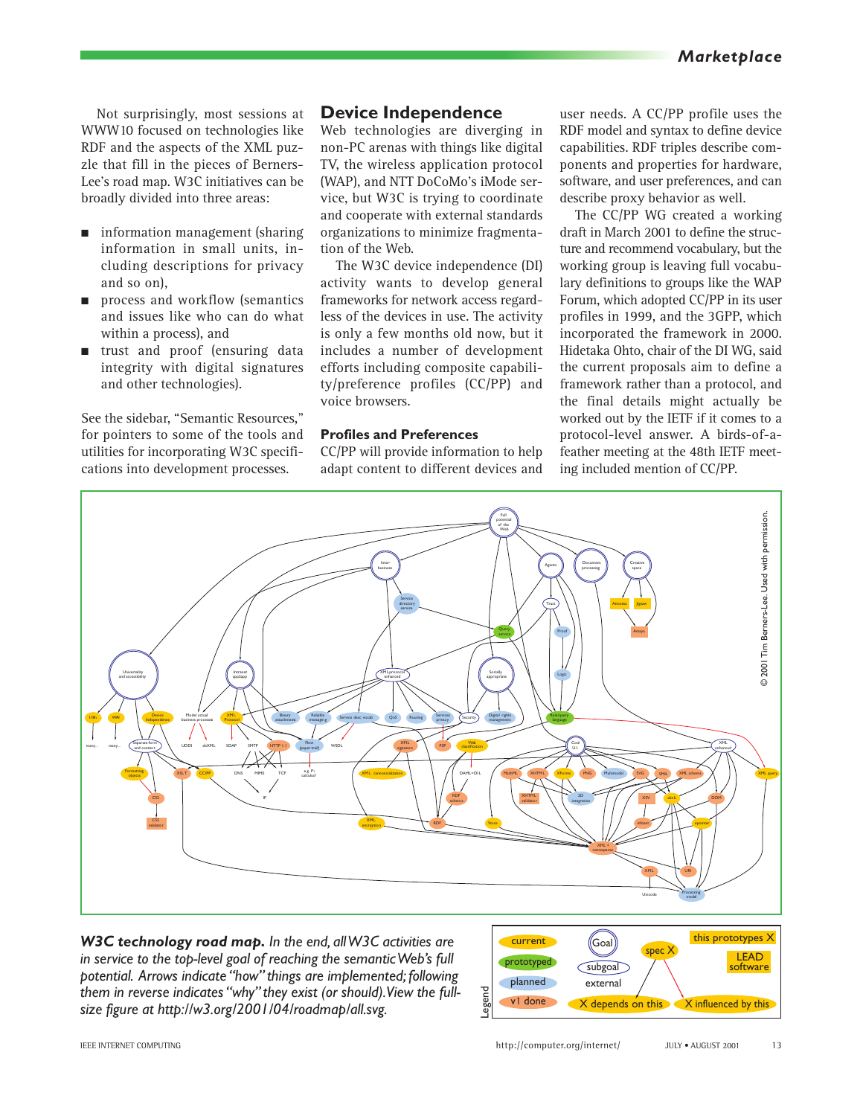Not surprisingly, most sessions at WWW10 focused on technologies like RDF and the aspects of the XML puzzle that fill in the pieces of Berners-Lee's road map. W3C initiatives can be broadly divided into three areas:

- information management (sharing information in small units, including descriptions for privacy and so on),
- process and workflow (semantics and issues like who can do what within a process), and
- trust and proof (ensuring data integrity with digital signatures and other technologies).

See the sidebar, "Semantic Resources," for pointers to some of the tools and utilities for incorporating W3C specifications into development processes.

## **Device Independence**

Web technologies are diverging in non-PC arenas with things like digital TV, the wireless application protocol (WAP), and NTT DoCoMo's iMode service, but W3C is trying to coordinate and cooperate with external standards organizations to minimize fragmentation of the Web.

The W3C device independence (DI) activity wants to develop general frameworks for network access regardless of the devices in use. The activity is only a few months old now, but it includes a number of development efforts including composite capability/preference profiles (CC/PP) and voice browsers.

#### **Profiles and Preferences**

CC/PP will provide information to help adapt content to different devices and

user needs. A CC/PP profile uses the RDF model and syntax to define device capabilities. RDF triples describe components and properties for hardware, software, and user preferences, and can describe proxy behavior as well.

The CC/PP WG created a working draft in March 2001 to define the structure and recommend vocabulary, but the working group is leaving full vocabulary definitions to groups like the WAP Forum, which adopted CC/PP in its user profiles in 1999, and the 3GPP, which incorporated the framework in 2000. Hidetaka Ohto, chair of the DI WG, said the current proposals aim to define a framework rather than a protocol, and the final details might actually be worked out by the IETF if it comes to a protocol-level answer. A birds-of-afeather meeting at the 48th IETF meeting included mention of CC/PP.



*W3C technology road map. In the end, all W3C activities are in service to the top-level goal of reaching the semantic Web's full potential. Arrows indicate "how" things are implemented; following them in reverse indicates "why" they exist (or should).View the fullsize figure at http://w3.org/2001/04/roadmap/all.svg.*

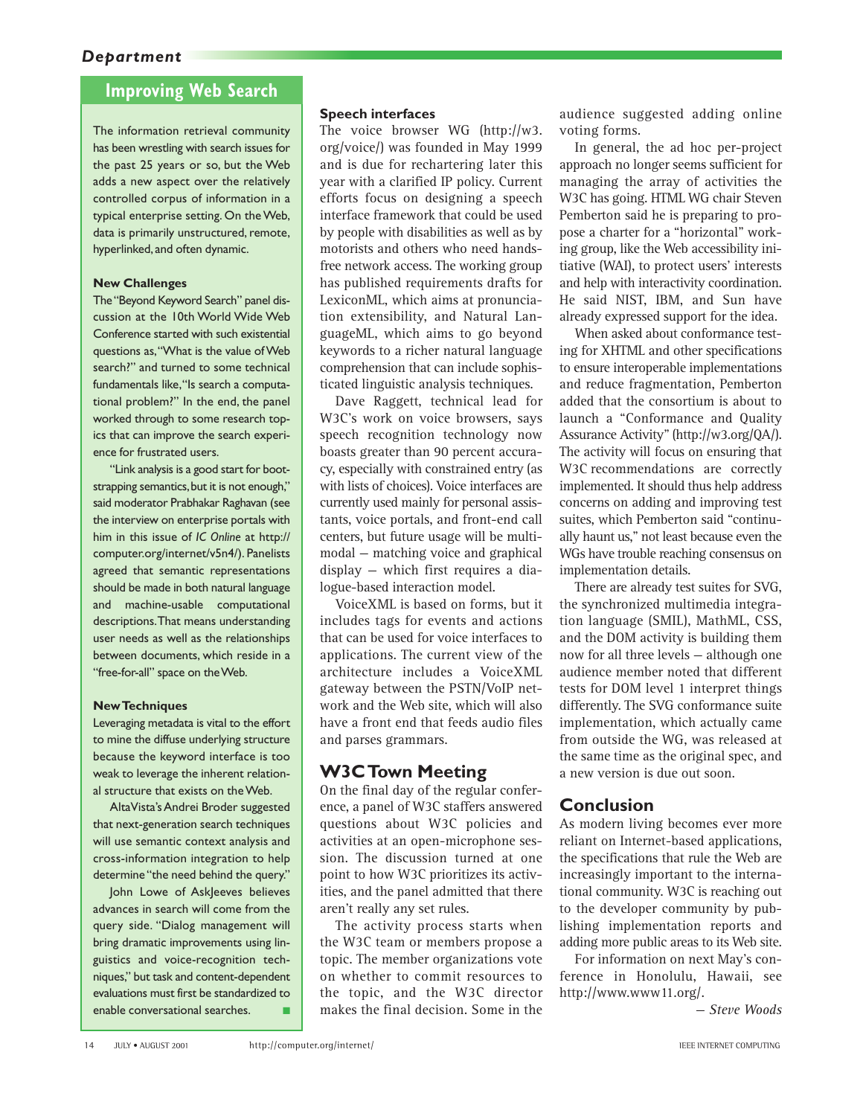# **Improving Web Search**

The information retrieval community has been wrestling with search issues for the past 25 years or so, but the Web adds a new aspect over the relatively controlled corpus of information in a typical enterprise setting. On the Web, data is primarily unstructured, remote, hyperlinked,and often dynamic.

#### **New Challenges**

The "Beyond Keyword Search" panel discussion at the 10th World Wide Web Conference started with such existential questions as,"What is the value of Web search?" and turned to some technical fundamentals like,"Is search a computational problem?" In the end, the panel worked through to some research topics that can improve the search experience for frustrated users.

"Link analysis is a good start for bootstrapping semantics, but it is not enough," said moderator Prabhakar Raghavan (see the interview on enterprise portals with him in this issue of *IC Online* at http:// computer.org/internet/v5n4/). Panelists agreed that semantic representations should be made in both natural language and machine-usable computational descriptions.That means understanding user needs as well as the relationships between documents, which reside in a "free-for-all" space on the Web.

#### **New Techniques**

Leveraging metadata is vital to the effort to mine the diffuse underlying structure because the keyword interface is too weak to leverage the inherent relational structure that exists on the Web.

AltaVista's Andrei Broder suggested that next-generation search techniques will use semantic context analysis and cross-information integration to help determine "the need behind the query."

John Lowe of AskJeeves believes advances in search will come from the query side. "Dialog management will bring dramatic improvements using linguistics and voice-recognition techniques," but task and content-dependent evaluations must first be standardized to enable conversational searches.

#### **Speech interfaces**

The voice browser WG (http://w3. org/voice/) was founded in May 1999 and is due for rechartering later this year with a clarified IP policy. Current efforts focus on designing a speech interface framework that could be used by people with disabilities as well as by motorists and others who need handsfree network access. The working group has published requirements drafts for LexiconML, which aims at pronunciation extensibility, and Natural LanguageML, which aims to go beyond keywords to a richer natural language comprehension that can include sophisticated linguistic analysis techniques.

Dave Raggett, technical lead for W3C's work on voice browsers, says speech recognition technology now boasts greater than 90 percent accuracy, especially with constrained entry (as with lists of choices). Voice interfaces are currently used mainly for personal assistants, voice portals, and front-end call centers, but future usage will be multimodal — matching voice and graphical display — which first requires a dialogue-based interaction model.

VoiceXML is based on forms, but it includes tags for events and actions that can be used for voice interfaces to applications. The current view of the architecture includes a VoiceXML gateway between the PSTN/VoIP network and the Web site, which will also have a front end that feeds audio files and parses grammars.

## **W3C Town Meeting**

On the final day of the regular conference, a panel of W3C staffers answered questions about W3C policies and activities at an open-microphone session. The discussion turned at one point to how W3C prioritizes its activities, and the panel admitted that there aren't really any set rules.

The activity process starts when the W3C team or members propose a topic. The member organizations vote on whether to commit resources to the topic, and the W3C director makes the final decision. Some in the

audience suggested adding online voting forms.

In general, the ad hoc per-project approach no longer seems sufficient for managing the array of activities the W3C has going. HTML WG chair Steven Pemberton said he is preparing to propose a charter for a "horizontal" working group, like the Web accessibility initiative (WAI), to protect users' interests and help with interactivity coordination. He said NIST, IBM, and Sun have already expressed support for the idea.

When asked about conformance testing for XHTML and other specifications to ensure interoperable implementations and reduce fragmentation, Pemberton added that the consortium is about to launch a "Conformance and Quality Assurance Activity" (http://w3.org/QA/). The activity will focus on ensuring that W3C recommendations are correctly implemented. It should thus help address concerns on adding and improving test suites, which Pemberton said "continually haunt us," not least because even the WGs have trouble reaching consensus on implementation details.

There are already test suites for SVG, the synchronized multimedia integration language (SMIL), MathML, CSS, and the DOM activity is building them now for all three levels — although one audience member noted that different tests for DOM level 1 interpret things differently. The SVG conformance suite implementation, which actually came from outside the WG, was released at the same time as the original spec, and a new version is due out soon.

## **Conclusion**

As modern living becomes ever more reliant on Internet-based applications, the specifications that rule the Web are increasingly important to the international community. W3C is reaching out to the developer community by publishing implementation reports and adding more public areas to its Web site.

For information on next May's conference in Honolulu, Hawaii, see http://www.www11.org/.

*— Steve Woods*